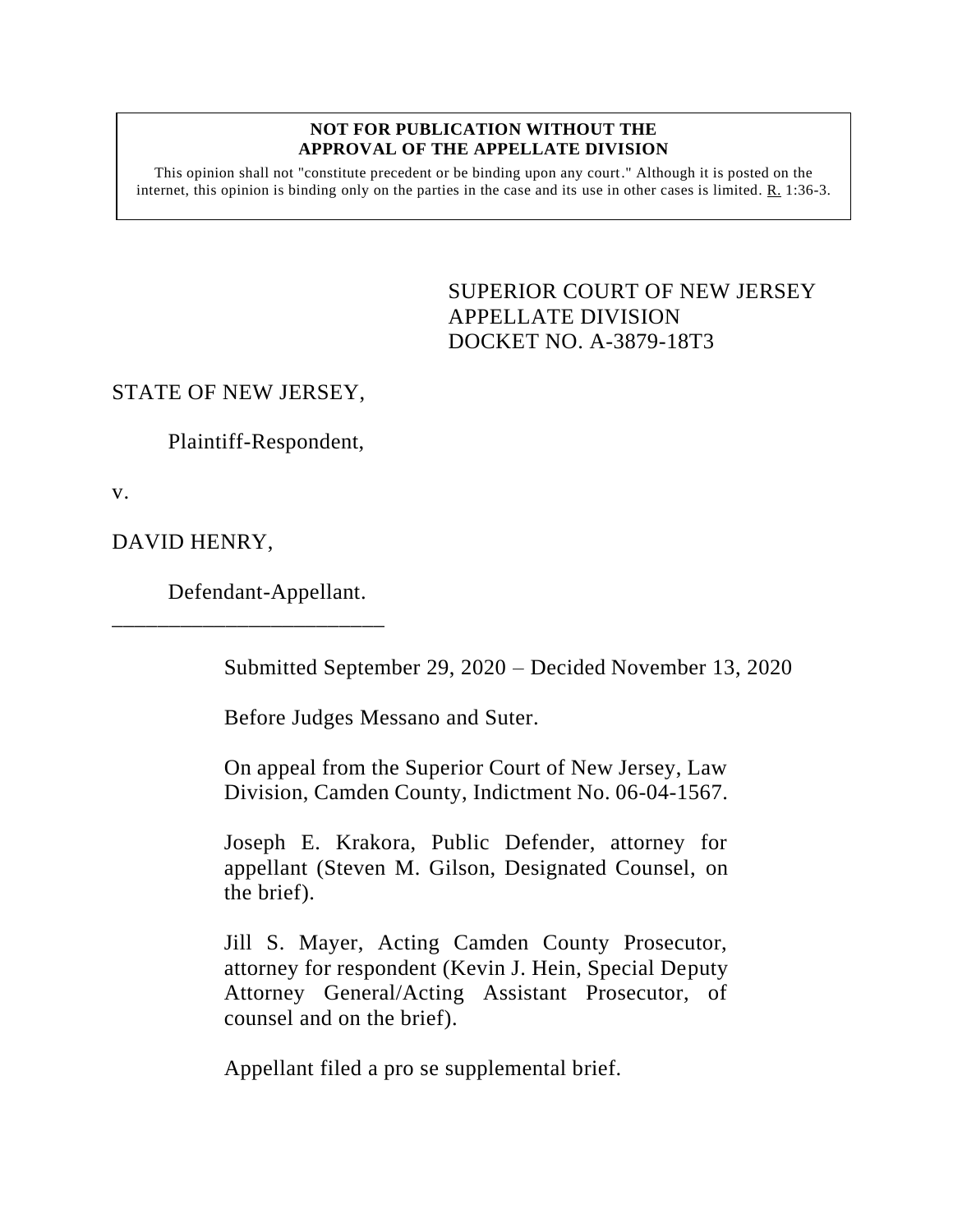## **NOT FOR PUBLICATION WITHOUT THE APPROVAL OF THE APPELLATE DIVISION**

This opinion shall not "constitute precedent or be binding upon any court." Although it is posted on the internet, this opinion is binding only on the parties in the case and its use in other cases is limited.  $R_1$  1:36-3.

> <span id="page-0-0"></span>SUPERIOR COURT OF NEW JERSEY APPELLATE DIVISION DOCKET NO. A-3879-18T3

## STATE OF NEW JERSEY,

Plaintiff-Respondent,

v.

DAVID HENRY,

Defendant-Appellant.

\_\_\_\_\_\_\_\_\_\_\_\_\_\_\_\_\_\_\_\_\_\_\_\_

Submitted September 29, 2020 – Decided November 13, 2020

Before Judges Messano and Suter.

On appeal from the Superior Court of New Jersey, Law Division, Camden County, Indictment No. 06-04-1567.

Joseph E. Krakora, Public Defender, attorney for appellant (Steven M. Gilson, Designated Counsel, on the brief).

Jill S. Mayer, Acting Camden County Prosecutor, attorney for respondent (Kevin J. Hein, Special Deputy Attorney General/Acting Assistant Prosecutor, of counsel and on the brief).

Appellant filed a pro se supplemental brief.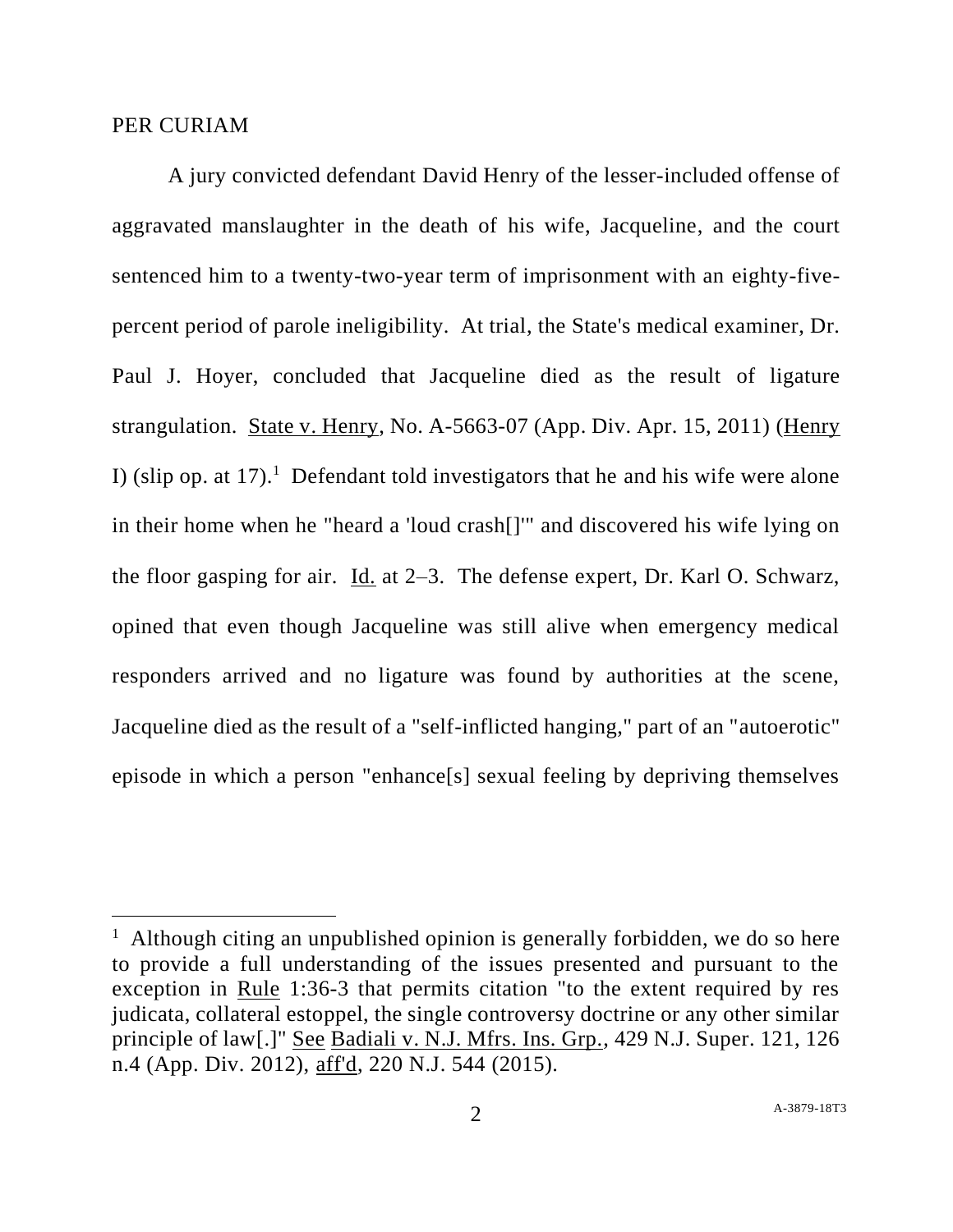## PER CURIAM

A jury convicted defendant David Henry of the lesser-included offense of aggravated manslaughter in the death of his wife, Jacqueline, and the court sentenced him to a twenty-two-year term of imprisonment with an eighty-fivepercent period of parole ineligibility. At trial, the State's medical examiner, Dr. Paul J. Hoyer, concluded that Jacqueline died as the result of ligature strangulation. State v. Henry, No. A-5663-07 (App. Div. Apr. 15, 2011) (Henry I) (slip op. at 17).<sup>1</sup> Defendant told investigators that he and his wife were alone in their home when he "heard a 'loud crash[]'" and discovered his wife lying on the floor gasping for air. Id. at 2–3. The defense expert, Dr. Karl O. Schwarz, opined that even though Jacqueline was still alive when emergency medical responders arrived and no ligature was found by authorities at the scene, Jacqueline died as the result of a "self-inflicted hanging," part of an "autoerotic" episode in which a person "enhance[s] sexual feeling by depriving themselves

<sup>&</sup>lt;sup>1</sup> Although citing an unpublished opinion is generally forbidden, we do so here to provide a full understanding of the issues presented and pursuant to the exception in Rule 1:36-3 that permits citation "to the extent required by res judicata, collateral estoppel, the single controversy doctrine or any other similar principle of law[.]" See Badiali v. N.J. Mfrs. Ins. Grp., 429 N.J. Super. 121, 126 n.4 (App. Div. 2012), aff'd, 220 N.J. 544 (2015).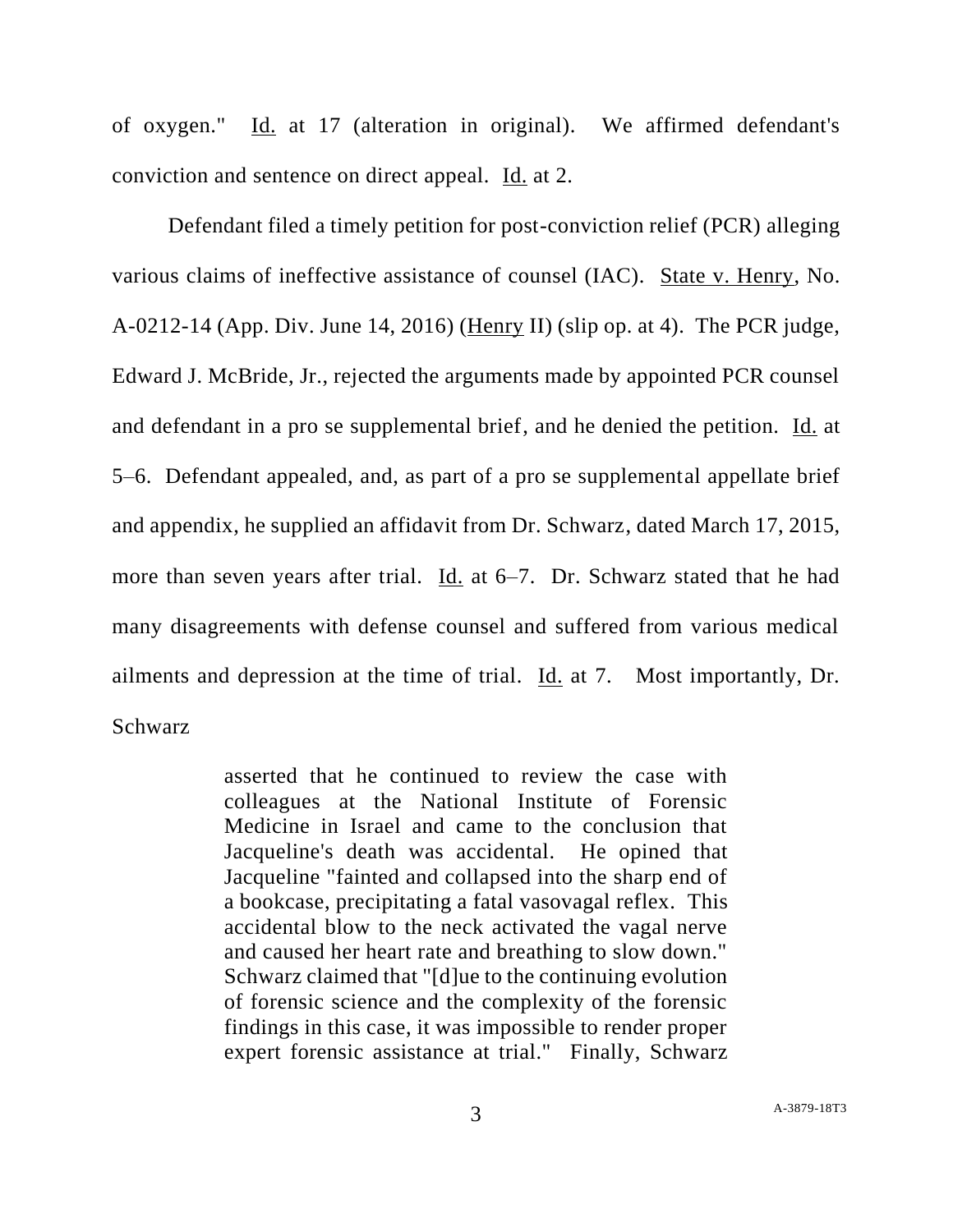of oxygen." Id. at 17 (alteration in original). We affirmed defendant's conviction and sentence on direct appeal. Id. at 2.

Defendant filed a timely petition for post-conviction relief (PCR) alleging various claims of ineffective assistance of counsel (IAC). State v. Henry, No. A-0212-14 (App. Div. June 14, 2016) (Henry II) (slip op. at 4). The PCR judge, Edward J. McBride, Jr., rejected the arguments made by appointed PCR counsel and defendant in a pro se supplemental brief, and he denied the petition. Id. at 5–6. Defendant appealed, and, as part of a pro se supplemental appellate brief and appendix, he supplied an affidavit from Dr. Schwarz, dated March 17, 2015, more than seven years after trial. Id. at 6–7. Dr. Schwarz stated that he had many disagreements with defense counsel and suffered from various medical ailments and depression at the time of trial. Id. at 7. Most importantly, Dr. Schwarz

> asserted that he continued to review the case with colleagues at the National Institute of Forensic Medicine in Israel and came to the conclusion that Jacqueline's death was accidental. He opined that Jacqueline "fainted and collapsed into the sharp end of a bookcase, precipitating a fatal vasovagal reflex. This accidental blow to the neck activated the vagal nerve and caused her heart rate and breathing to slow down." Schwarz claimed that "[d]ue to the continuing evolution of forensic science and the complexity of the forensic findings in this case, it was impossible to render proper expert forensic assistance at trial." Finally, Schwarz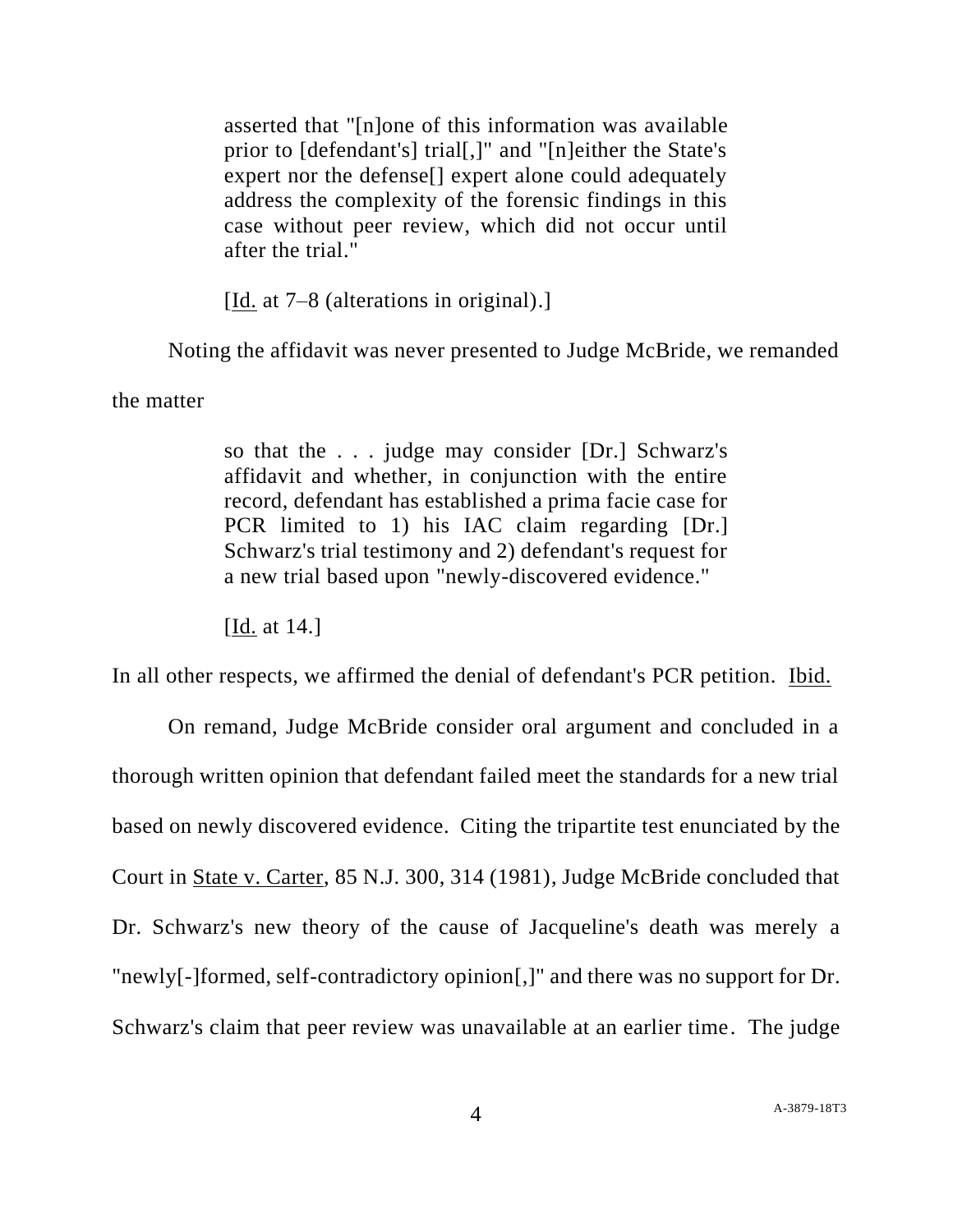asserted that "[n]one of this information was available prior to [defendant's] trial[,]" and "[n]either the State's expert nor the defense[] expert alone could adequately address the complexity of the forensic findings in this case without peer review, which did not occur until after the trial."

[Id. at 7–8 (alterations in original).]

Noting the affidavit was never presented to Judge McBride, we remanded

the matter

so that the . . . judge may consider [Dr.] Schwarz's affidavit and whether, in conjunction with the entire record, defendant has established a prima facie case for PCR limited to 1) his IAC claim regarding [Dr.] Schwarz's trial testimony and 2) defendant's request for a new trial based upon "newly-discovered evidence."

[Id. at 14.]

In all other respects, we affirmed the denial of defendant's PCR petition. Ibid.

On remand, Judge McBride consider oral argument and concluded in a thorough written opinion that defendant failed meet the standards for a new trial based on newly discovered evidence. Citing the tripartite test enunciated by the Court in State v. Carter, 85 N.J. 300, 314 (1981), Judge McBride concluded that Dr. Schwarz's new theory of the cause of Jacqueline's death was merely a "newly[-]formed, self-contradictory opinion[,]" and there was no support for Dr. Schwarz's claim that peer review was unavailable at an earlier time. The judge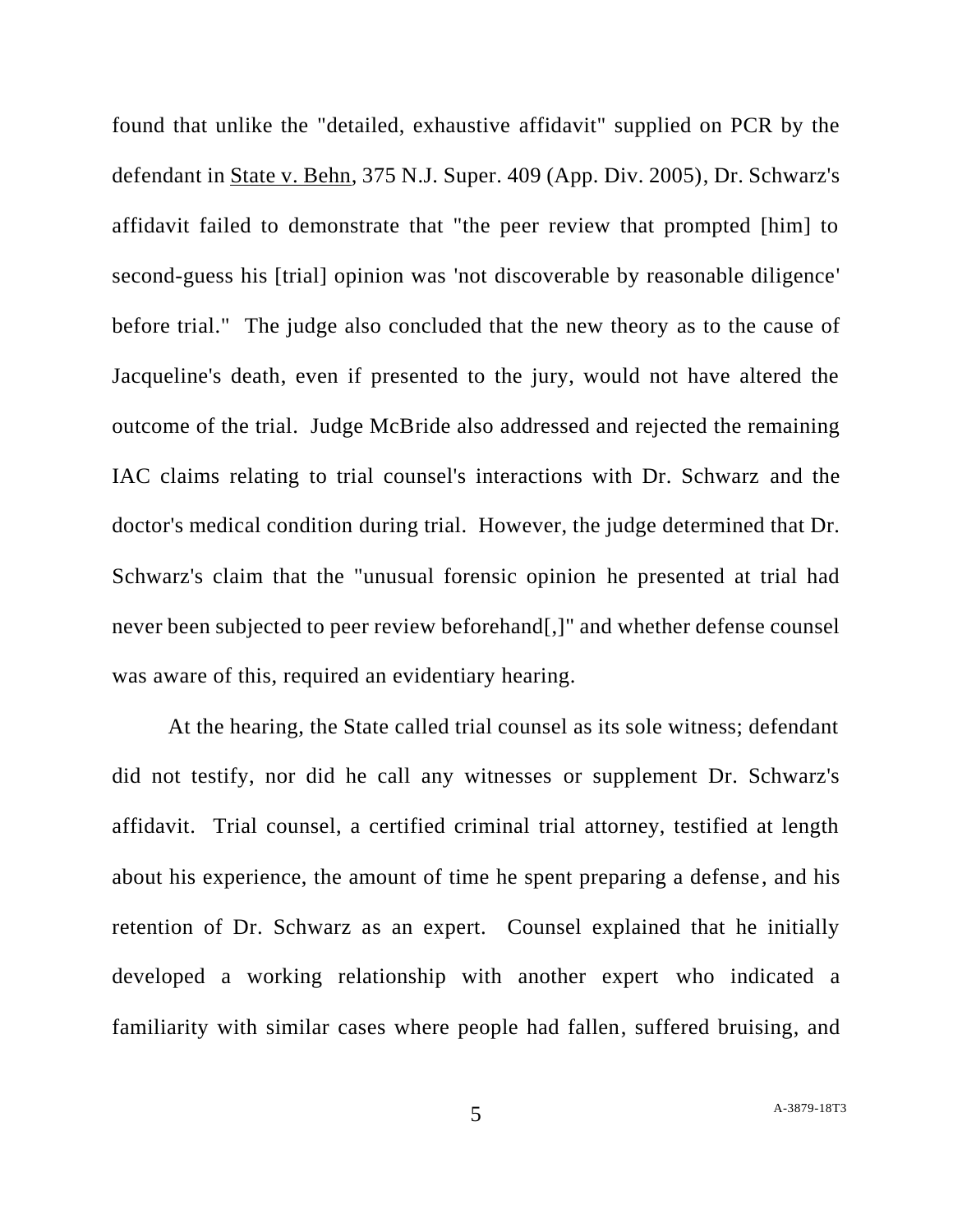found that unlike the "detailed, exhaustive affidavit" supplied on PCR by the defendant in State v. Behn, 375 N.J. Super. 409 (App. Div. 2005), Dr. Schwarz's affidavit failed to demonstrate that "the peer review that prompted [him] to second-guess his [trial] opinion was 'not discoverable by reasonable diligence' before trial." The judge also concluded that the new theory as to the cause of Jacqueline's death, even if presented to the jury, would not have altered the outcome of the trial. Judge McBride also addressed and rejected the remaining IAC claims relating to trial counsel's interactions with Dr. Schwarz and the doctor's medical condition during trial. However, the judge determined that Dr. Schwarz's claim that the "unusual forensic opinion he presented at trial had never been subjected to peer review beforehand[,]" and whether defense counsel was aware of this, required an evidentiary hearing.

At the hearing, the State called trial counsel as its sole witness; defendant did not testify, nor did he call any witnesses or supplement Dr. Schwarz's affidavit. Trial counsel, a certified criminal trial attorney, testified at length about his experience, the amount of time he spent preparing a defense, and his retention of Dr. Schwarz as an expert. Counsel explained that he initially developed a working relationship with another expert who indicated a familiarity with similar cases where people had fallen, suffered bruising, and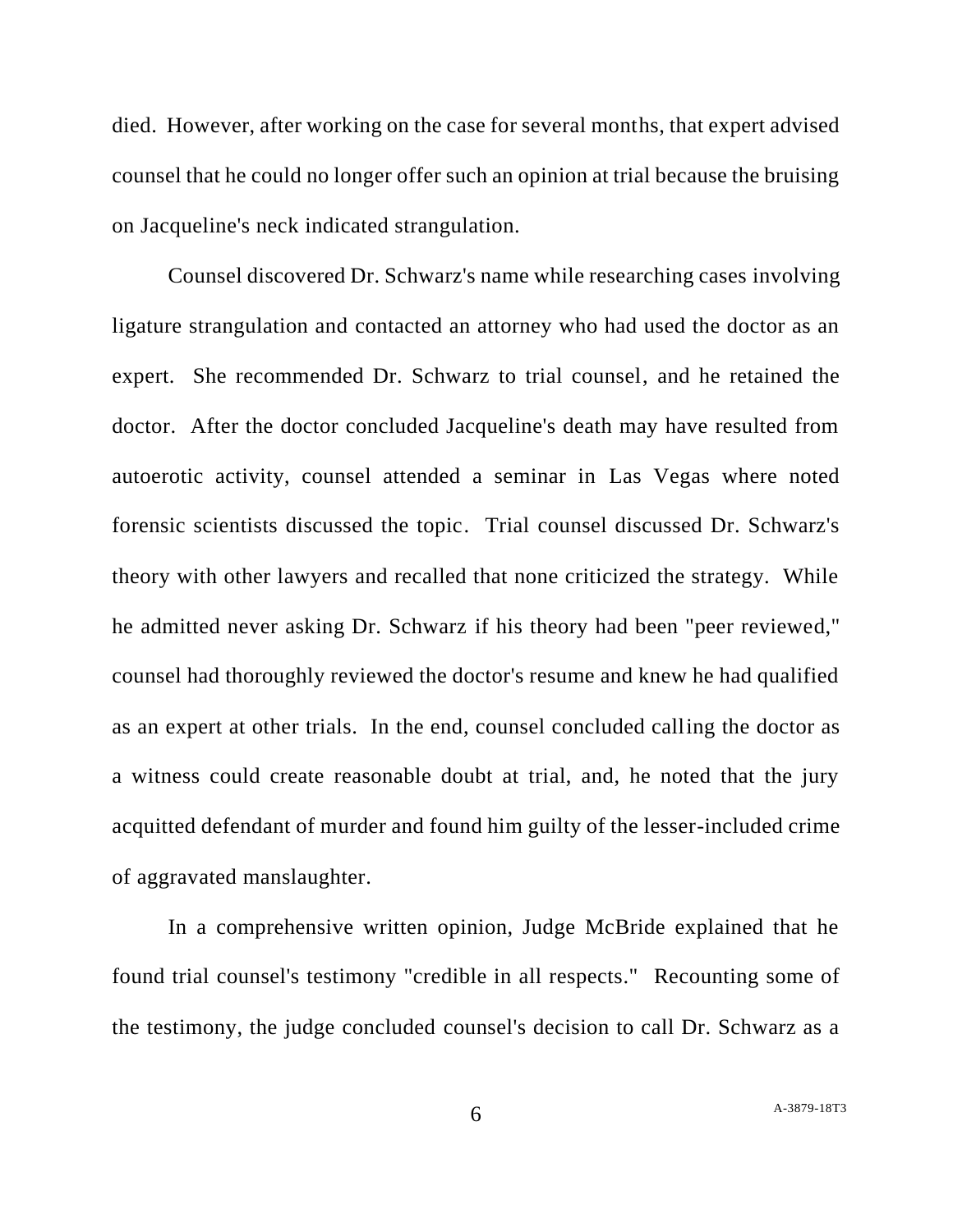died. However, after working on the case for several months, that expert advised counsel that he could no longer offer such an opinion at trial because the bruising on Jacqueline's neck indicated strangulation.

Counsel discovered Dr. Schwarz's name while researching cases involving ligature strangulation and contacted an attorney who had used the doctor as an expert. She recommended Dr. Schwarz to trial counsel, and he retained the doctor. After the doctor concluded Jacqueline's death may have resulted from autoerotic activity, counsel attended a seminar in Las Vegas where noted forensic scientists discussed the topic. Trial counsel discussed Dr. Schwarz's theory with other lawyers and recalled that none criticized the strategy. While he admitted never asking Dr. Schwarz if his theory had been "peer reviewed," counsel had thoroughly reviewed the doctor's resume and knew he had qualified as an expert at other trials. In the end, counsel concluded calling the doctor as a witness could create reasonable doubt at trial, and, he noted that the jury acquitted defendant of murder and found him guilty of the lesser-included crime of aggravated manslaughter.

In a comprehensive written opinion, Judge McBride explained that he found trial counsel's testimony "credible in all respects." Recounting some of the testimony, the judge concluded counsel's decision to call Dr. Schwarz as a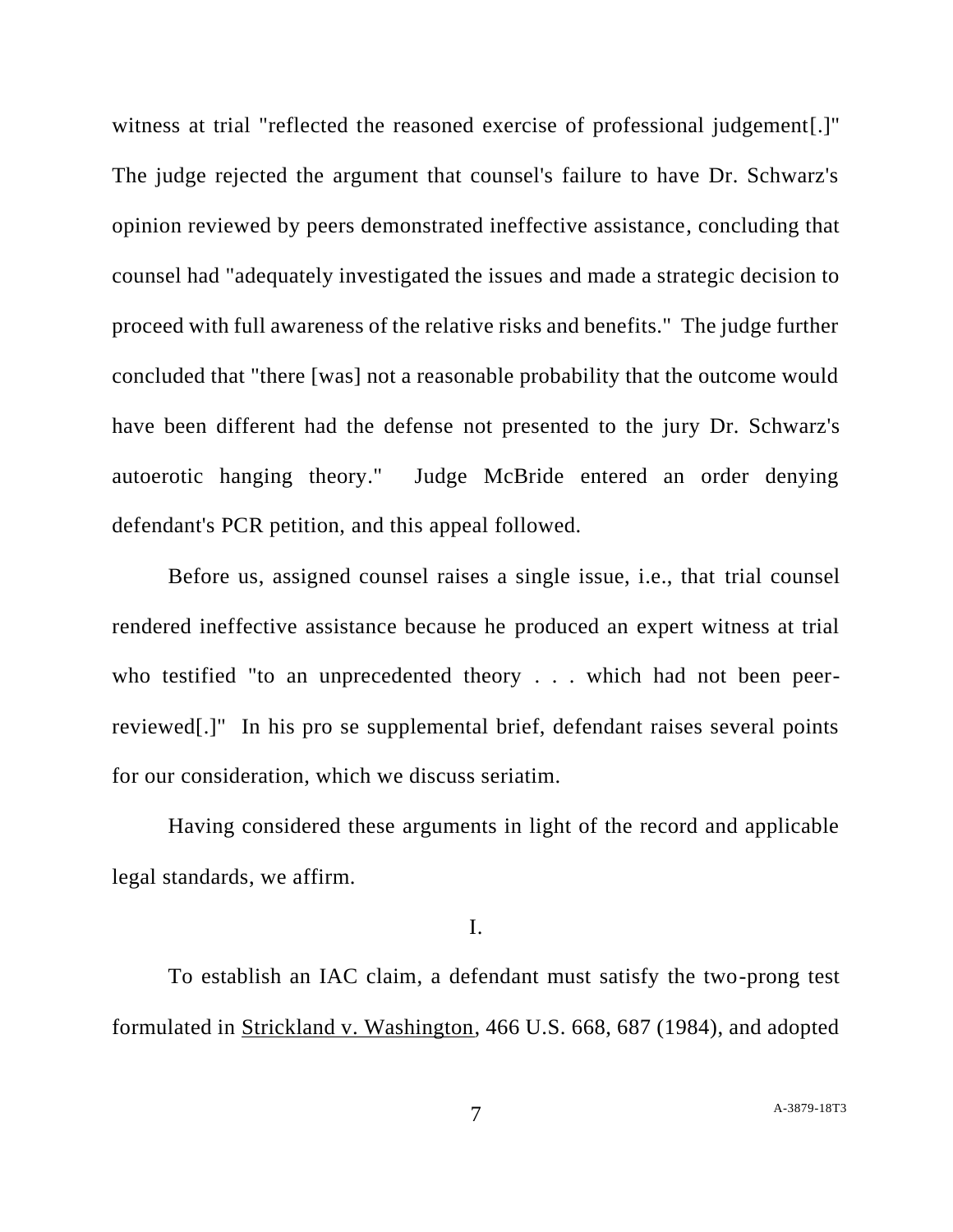witness at trial "reflected the reasoned exercise of professional judgement.]" The judge rejected the argument that counsel's failure to have Dr. Schwarz's opinion reviewed by peers demonstrated ineffective assistance, concluding that counsel had "adequately investigated the issues and made a strategic decision to proceed with full awareness of the relative risks and benefits." The judge further concluded that "there [was] not a reasonable probability that the outcome would have been different had the defense not presented to the jury Dr. Schwarz's autoerotic hanging theory." Judge McBride entered an order denying defendant's PCR petition, and this appeal followed.

Before us, assigned counsel raises a single issue, i.e., that trial counsel rendered ineffective assistance because he produced an expert witness at trial who testified "to an unprecedented theory . . . which had not been peerreviewed[.]" In his pro se supplemental brief, defendant raises several points for our consideration, which we discuss seriatim.

Having considered these arguments in light of the record and applicable legal standards, we affirm.

## I.

To establish an IAC claim, a defendant must satisfy the two-prong test formulated in Strickland v. Washington, 466 U.S. 668, 687 (1984), and adopted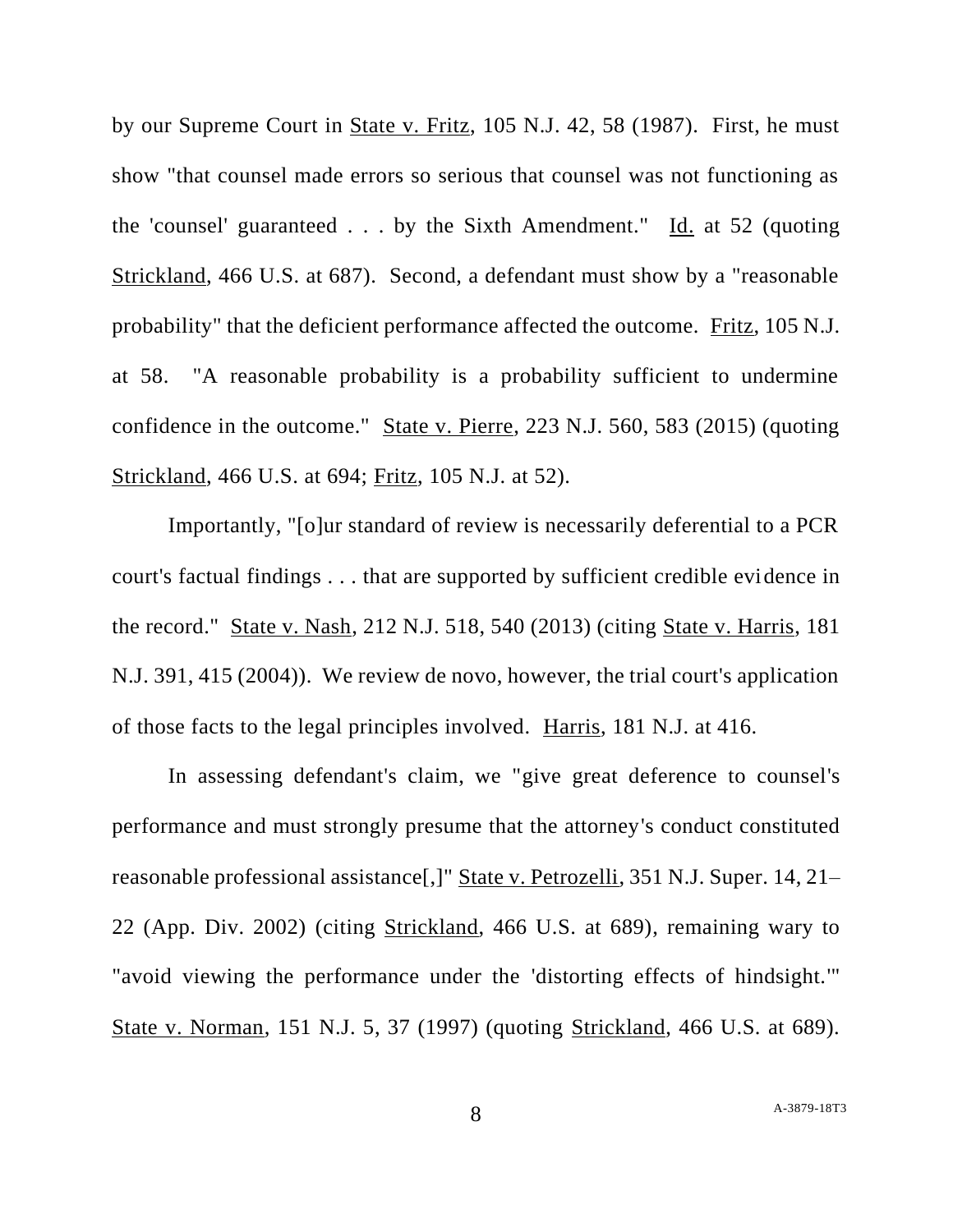by our Supreme Court in State v. Fritz, 105 N.J. 42, 58 (1987). First, he must show "that counsel made errors so serious that counsel was not functioning as the 'counsel' guaranteed . . . by the Sixth Amendment." Id. at 52 (quoting Strickland, 466 U.S. at 687). Second, a defendant must show by a "reasonable probability" that the deficient performance affected the outcome. Fritz, 105 N.J. at 58. "A reasonable probability is a probability sufficient to undermine confidence in the outcome." State v. Pierre, 223 N.J. 560, 583 (2015) (quoting Strickland, 466 U.S. at 694; Fritz, 105 N.J. at 52).

Importantly, "[o]ur standard of review is necessarily deferential to a PCR court's factual findings . . . that are supported by sufficient credible evidence in the record." State v. Nash, 212 N.J. 518, 540 (2013) (citing State v. Harris, 181 N.J. 391, 415 (2004)). We review de novo, however, the trial court's application of those facts to the legal principles involved. Harris, 181 N.J. at 416.

In assessing defendant's claim, we "give great deference to counsel's performance and must strongly presume that the attorney's conduct constituted reasonable professional assistance[,]" State v. Petrozelli, 351 N.J. Super. 14, 21– 22 (App. Div. 2002) (citing Strickland, 466 U.S. at 689), remaining wary to "avoid viewing the performance under the 'distorting effects of hindsight.'" State v. Norman, 151 N.J. 5, 37 (1997) (quoting Strickland, 466 U.S. at 689).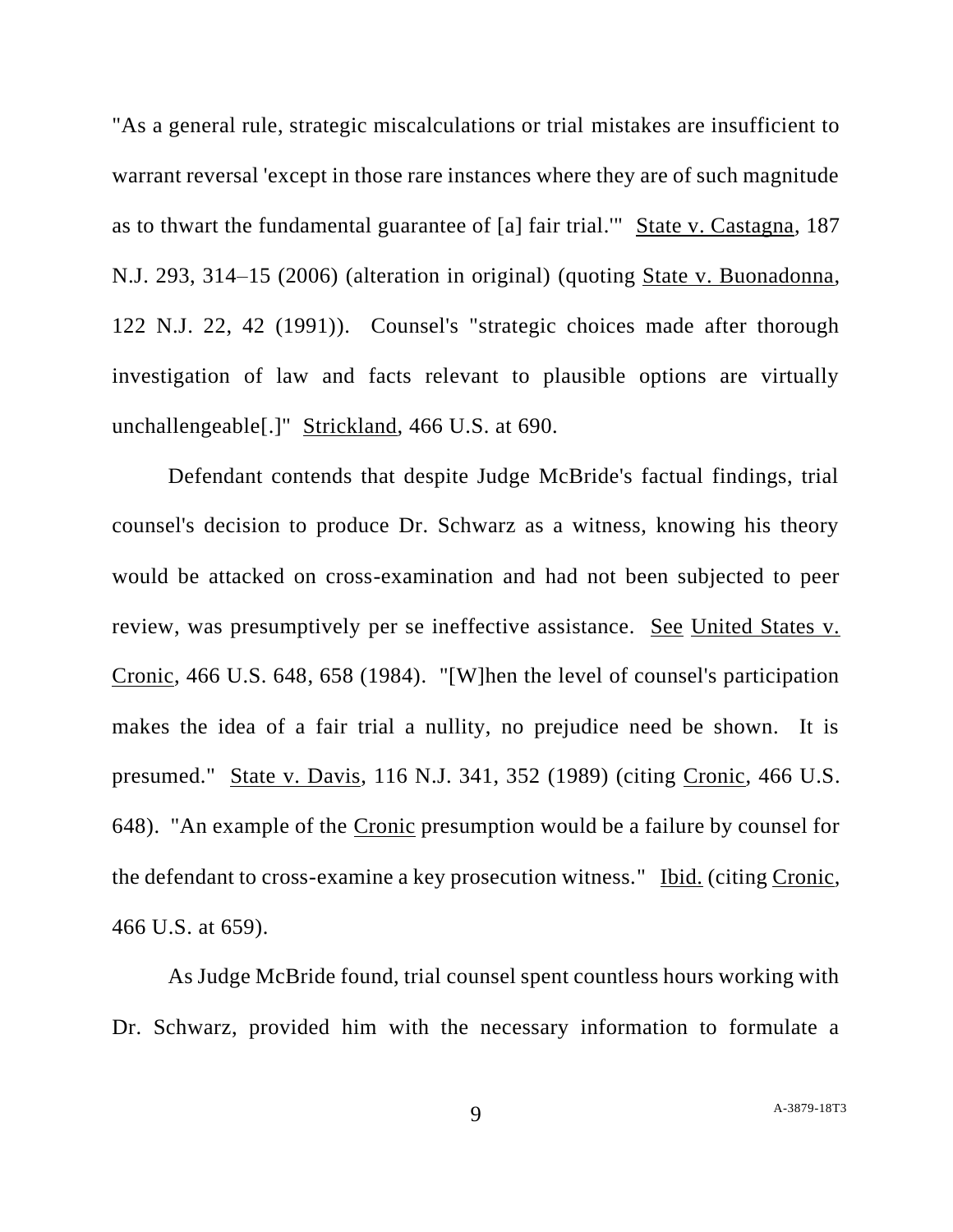"As a general rule, strategic miscalculations or trial mistakes are insufficient to warrant reversal 'except in those rare instances where they are of such magnitude as to thwart the fundamental guarantee of [a] fair trial.'" State v. Castagna, 187 N.J. 293, 314–15 (2006) (alteration in original) (quoting State v. Buonadonna, 122 N.J. 22, 42 (1991)). Counsel's "strategic choices made after thorough investigation of law and facts relevant to plausible options are virtually unchallengeable[.]" Strickland, 466 U.S. at 690.

Defendant contends that despite Judge McBride's factual findings, trial counsel's decision to produce Dr. Schwarz as a witness, knowing his theory would be attacked on cross-examination and had not been subjected to peer review, was presumptively per se ineffective assistance. See United States v. Cronic, 466 U.S. 648, 658 (1984). "[W]hen the level of counsel's participation makes the idea of a fair trial a nullity, no prejudice need be shown. It is presumed." State v. Davis, 116 N.J. 341, 352 (1989) (citing Cronic, 466 U.S. 648). "An example of the Cronic presumption would be a failure by counsel for the defendant to cross-examine a key prosecution witness." Ibid. (citing Cronic, 466 U.S. at 659).

As Judge McBride found, trial counsel spent countless hours working with Dr. Schwarz, provided him with the necessary information to formulate a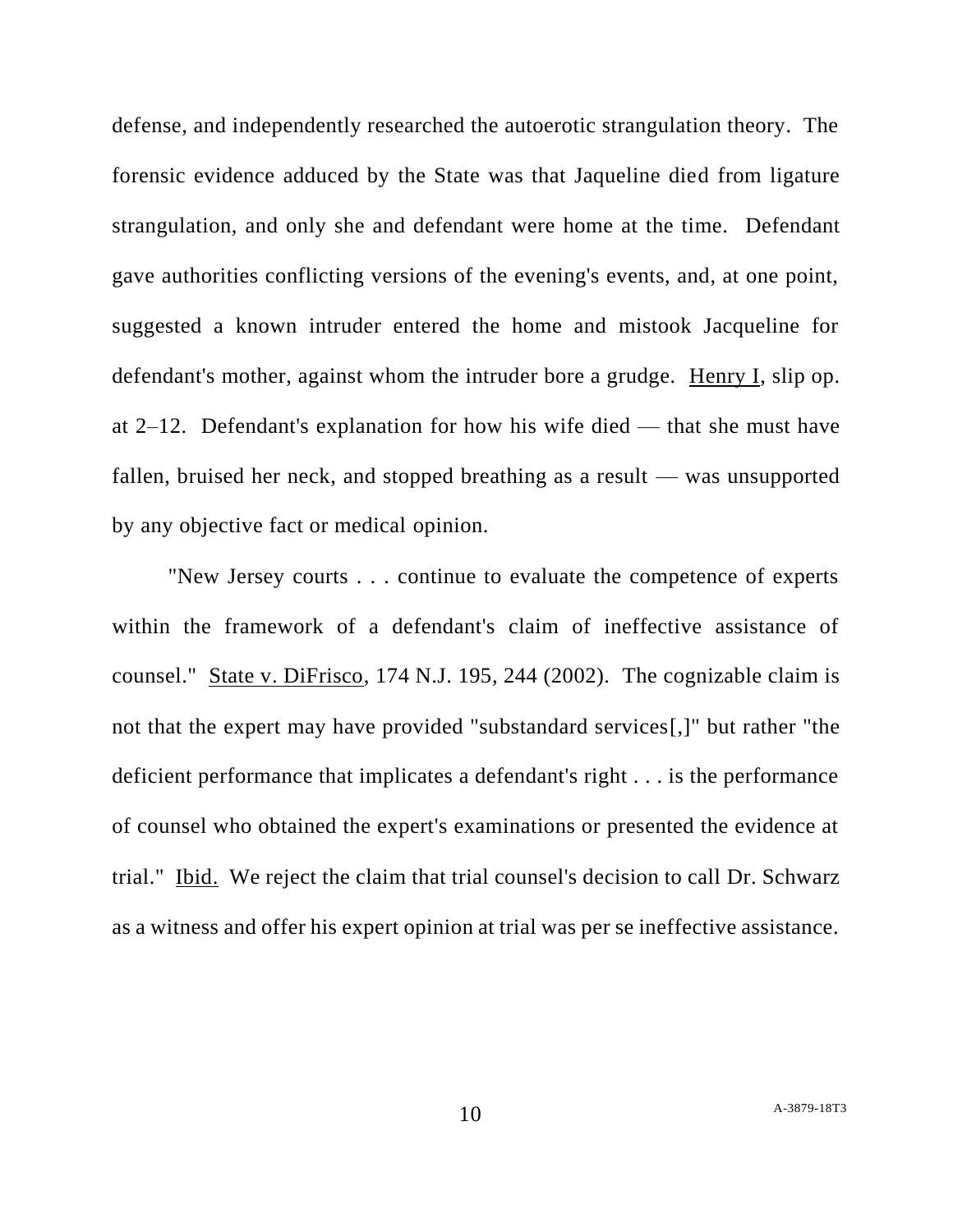defense, and independently researched the autoerotic strangulation theory. The forensic evidence adduced by the State was that Jaqueline died from ligature strangulation, and only she and defendant were home at the time. Defendant gave authorities conflicting versions of the evening's events, and, at one point, suggested a known intruder entered the home and mistook Jacqueline for defendant's mother, against whom the intruder bore a grudge. Henry I, slip op. at 2–12. Defendant's explanation for how his wife died — that she must have fallen, bruised her neck, and stopped breathing as a result — was unsupported by any objective fact or medical opinion.

"New Jersey courts . . . continue to evaluate the competence of experts within the framework of a defendant's claim of ineffective assistance of counsel." State v. DiFrisco, 174 N.J. 195, 244 (2002). The cognizable claim is not that the expert may have provided "substandard services[,]" but rather "the deficient performance that implicates a defendant's right . . . is the performance of counsel who obtained the expert's examinations or presented the evidence at trial." Ibid. We reject the claim that trial counsel's decision to call Dr. Schwarz as a witness and offer his expert opinion at trial was per se ineffective assistance.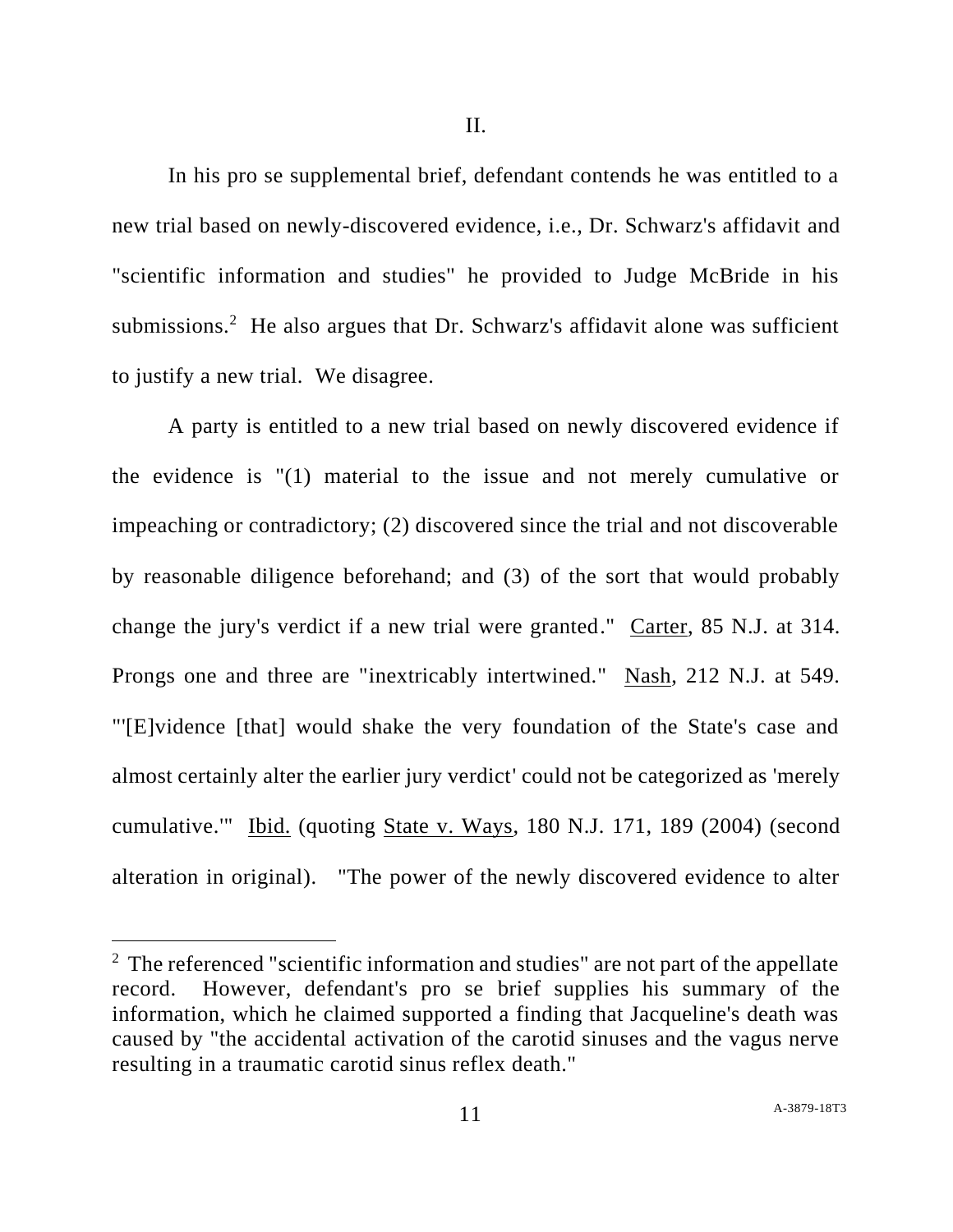II.

In his pro se supplemental brief, defendant contends he was entitled to a new trial based on newly-discovered evidence, i.e., Dr. Schwarz's affidavit and "scientific information and studies" he provided to Judge McBride in his submissions.<sup>2</sup> He also argues that Dr. Schwarz's affidavit alone was sufficient to justify a new trial. We disagree.

A party is entitled to a new trial based on newly discovered evidence if the evidence is "(1) material to the issue and not merely cumulative or impeaching or contradictory; (2) discovered since the trial and not discoverable by reasonable diligence beforehand; and (3) of the sort that would probably change the jury's verdict if a new trial were granted." Carter, 85 N.J. at 314. Prongs one and three are "inextricably intertwined." Nash, 212 N.J. at 549. "'[E]vidence [that] would shake the very foundation of the State's case and almost certainly alter the earlier jury verdict' could not be categorized as 'merely cumulative.'" Ibid. (quoting State v. Ways, 180 N.J. 171, 189 (2004) (second alteration in original). "The power of the newly discovered evidence to alter

<sup>&</sup>lt;sup>2</sup> The referenced "scientific information and studies" are not part of the appellate record. However, defendant's pro se brief supplies his summary of the information, which he claimed supported a finding that Jacqueline's death was caused by "the accidental activation of the carotid sinuses and the vagus nerve resulting in a traumatic carotid sinus reflex death."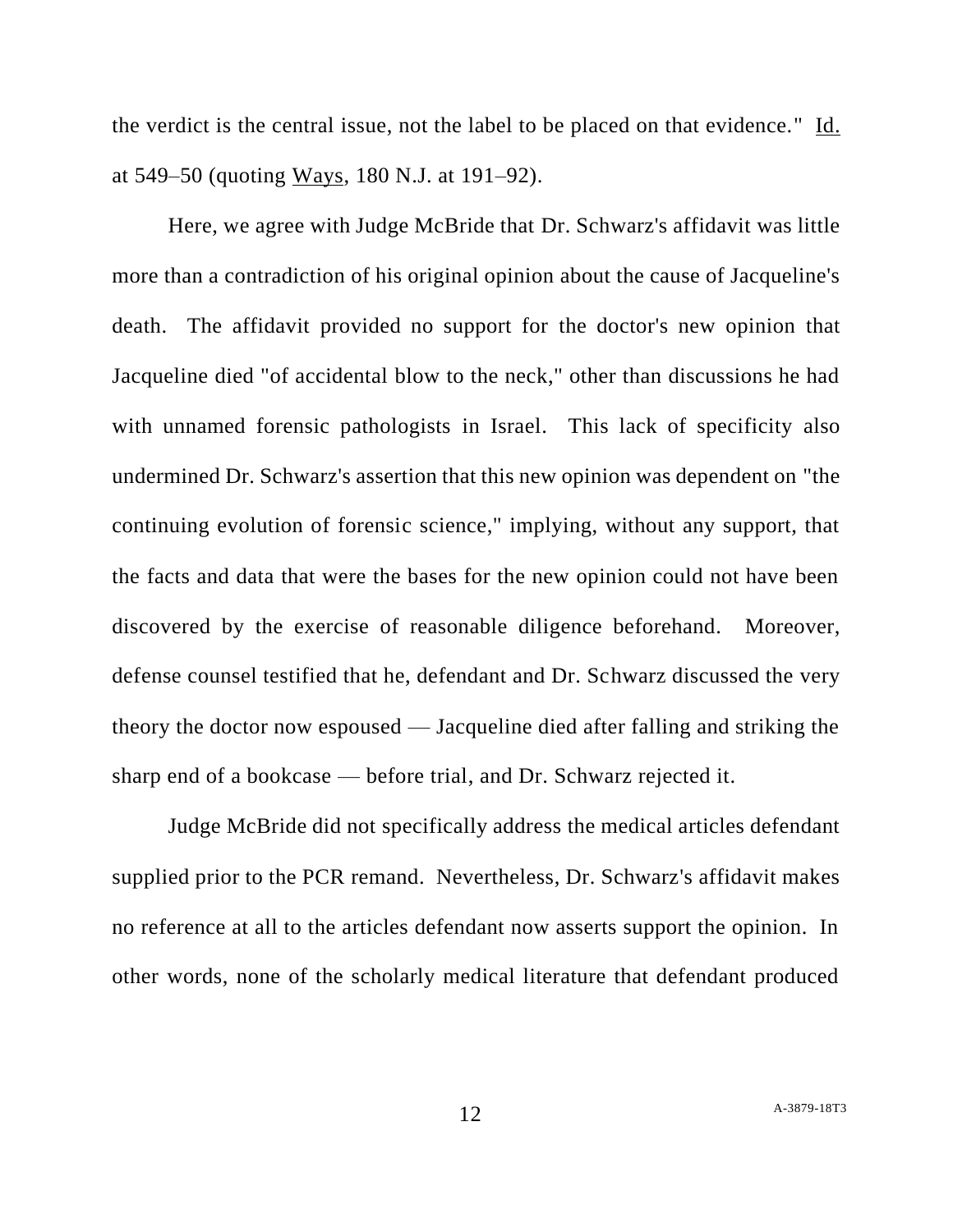the verdict is the central issue, not the label to be placed on that evidence." Id. at 549–50 (quoting Ways, 180 N.J. at 191–92).

Here, we agree with Judge McBride that Dr. Schwarz's affidavit was little more than a contradiction of his original opinion about the cause of Jacqueline's death. The affidavit provided no support for the doctor's new opinion that Jacqueline died "of accidental blow to the neck," other than discussions he had with unnamed forensic pathologists in Israel. This lack of specificity also undermined Dr. Schwarz's assertion that this new opinion was dependent on "the continuing evolution of forensic science," implying, without any support, that the facts and data that were the bases for the new opinion could not have been discovered by the exercise of reasonable diligence beforehand. Moreover, defense counsel testified that he, defendant and Dr. Schwarz discussed the very theory the doctor now espoused — Jacqueline died after falling and striking the sharp end of a bookcase — before trial, and Dr. Schwarz rejected it.

Judge McBride did not specifically address the medical articles defendant supplied prior to the PCR remand. Nevertheless, Dr. Schwarz's affidavit makes no reference at all to the articles defendant now asserts support the opinion. In other words, none of the scholarly medical literature that defendant produced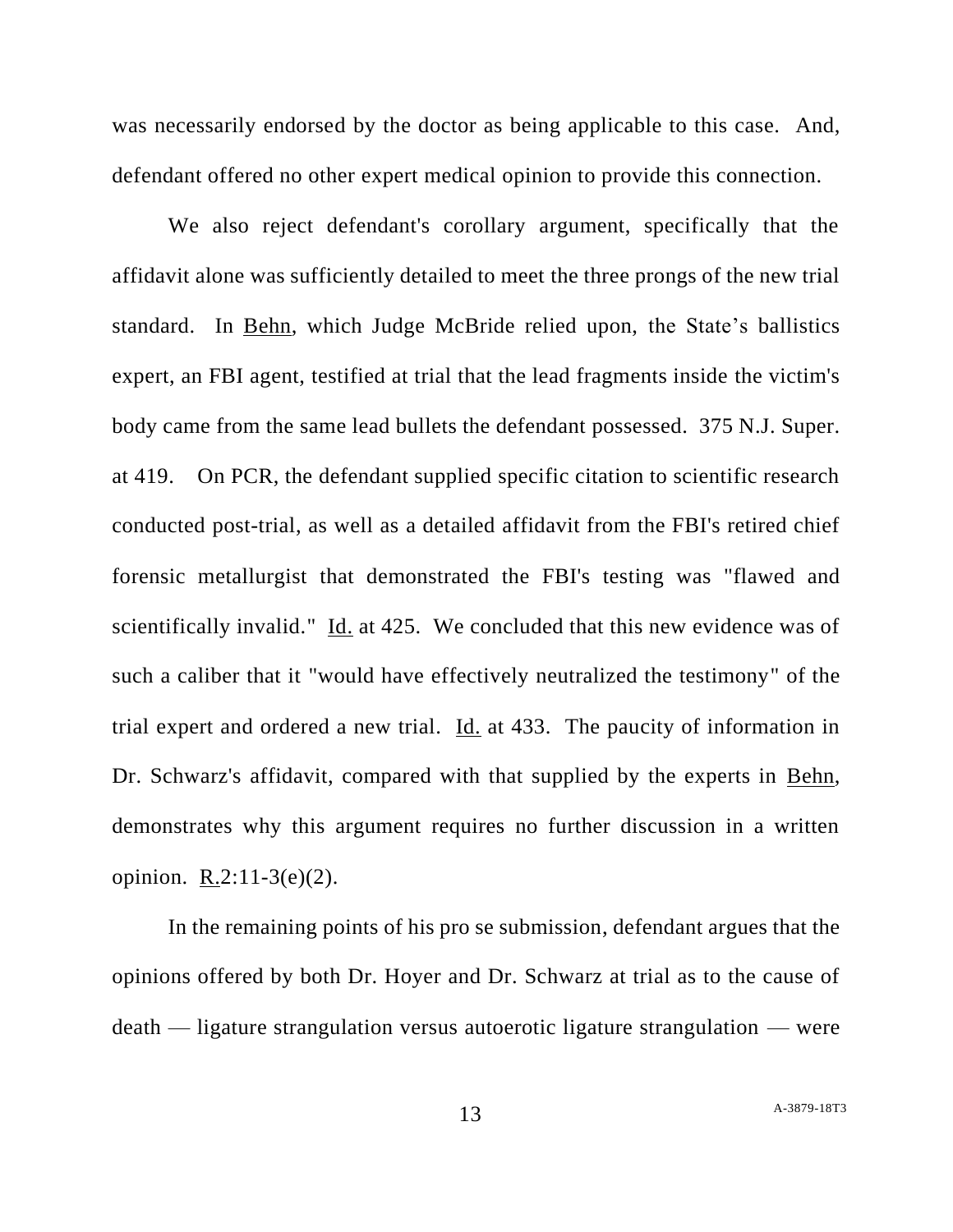was necessarily endorsed by the doctor as being applicable to this case. And, defendant offered no other expert medical opinion to provide this connection.

We also reject defendant's corollary argument, specifically that the affidavit alone was sufficiently detailed to meet the three prongs of the new trial standard. In Behn, which Judge McBride relied upon, the State's ballistics expert, an FBI agent, testified at trial that the lead fragments inside the victim's body came from the same lead bullets the defendant possessed. 375 N.J. Super. at 419. On PCR, the defendant supplied specific citation to scientific research conducted post-trial, as well as a detailed affidavit from the FBI's retired chief forensic metallurgist that demonstrated the FBI's testing was "flawed and scientifically invalid." Id. at 425. We concluded that this new evidence was of such a caliber that it "would have effectively neutralized the testimony" of the trial expert and ordered a new trial. Id. at 433. The paucity of information in Dr. Schwarz's affidavit, compared with that supplied by the experts in Behn, demonstrates why this argument requires no further discussion in a written opinion.  $R.2:11-3(e)(2)$ .

In the remaining points of his pro se submission, defendant argues that the opinions offered by both Dr. Hoyer and Dr. Schwarz at trial as to the cause of death — ligature strangulation versus autoerotic ligature strangulation — were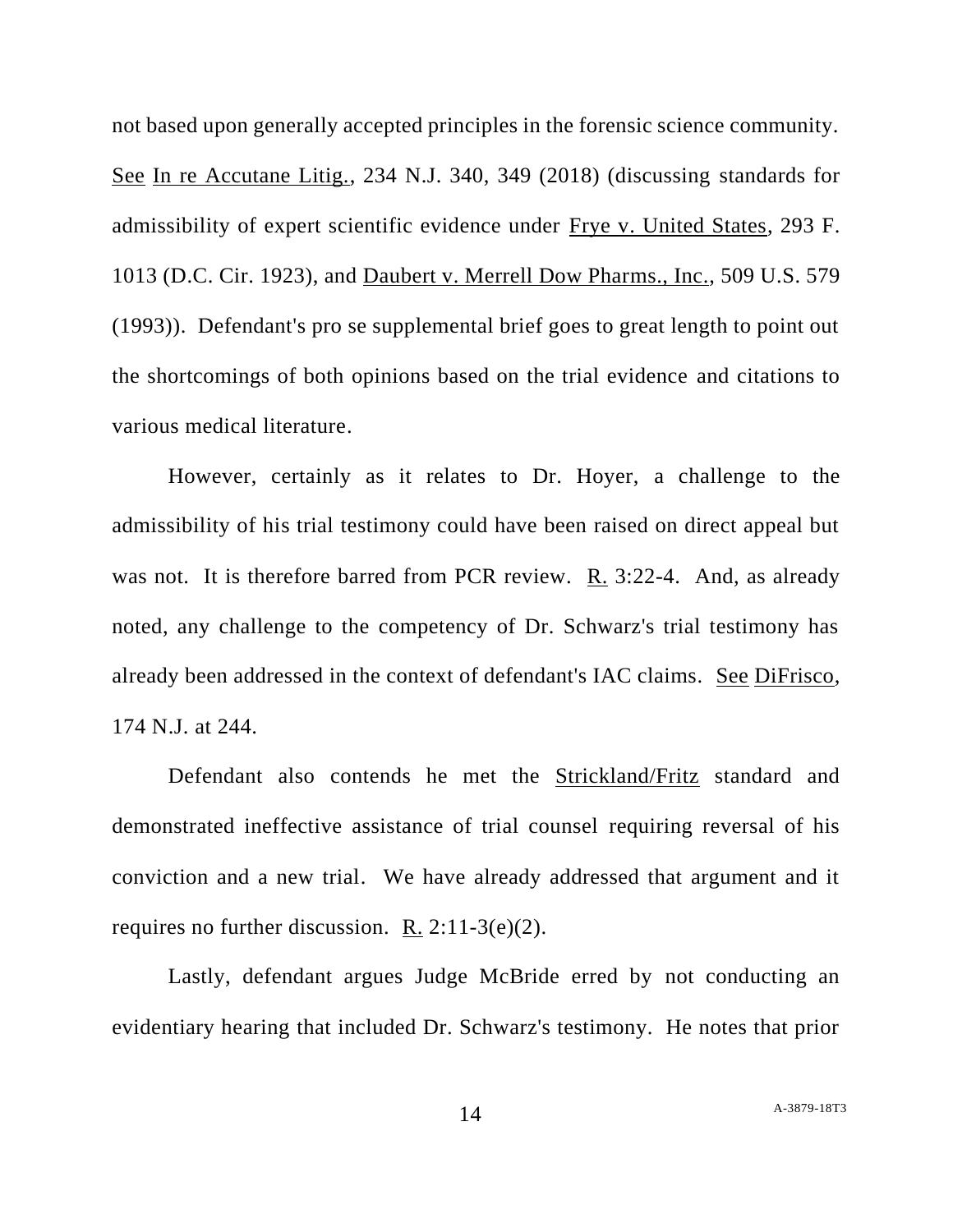not based upon generally accepted principles in the forensic science community. See In re Accutane Litig., 234 N.J. 340, 349 (2018) (discussing standards for admissibility of expert scientific evidence under Frye v. United States, 293 F. 1013 (D.C. Cir. 1923), and Daubert v. Merrell Dow Pharms., Inc., 509 U.S. 579 (1993)). Defendant's pro se supplemental brief goes to great length to point out the shortcomings of both opinions based on the trial evidence and citations to various medical literature.

However, certainly as it relates to Dr. Hoyer, a challenge to the admissibility of his trial testimony could have been raised on direct appeal but was not. It is therefore barred from PCR review.  $R_1$  3:22-4. And, as already noted, any challenge to the competency of Dr. Schwarz's trial testimony has already been addressed in the context of defendant's IAC claims. See DiFrisco, 174 N.J. at 244.

Defendant also contends he met the **Strickland/Fritz** standard and demonstrated ineffective assistance of trial counsel requiring reversal of his conviction and a new trial. We have already addressed that argument and it requires no further discussion. R. 2:11-3(e)(2).

Lastly, defendant argues Judge McBride erred by not conducting an evidentiary hearing that included Dr. Schwarz's testimony. He notes that prior